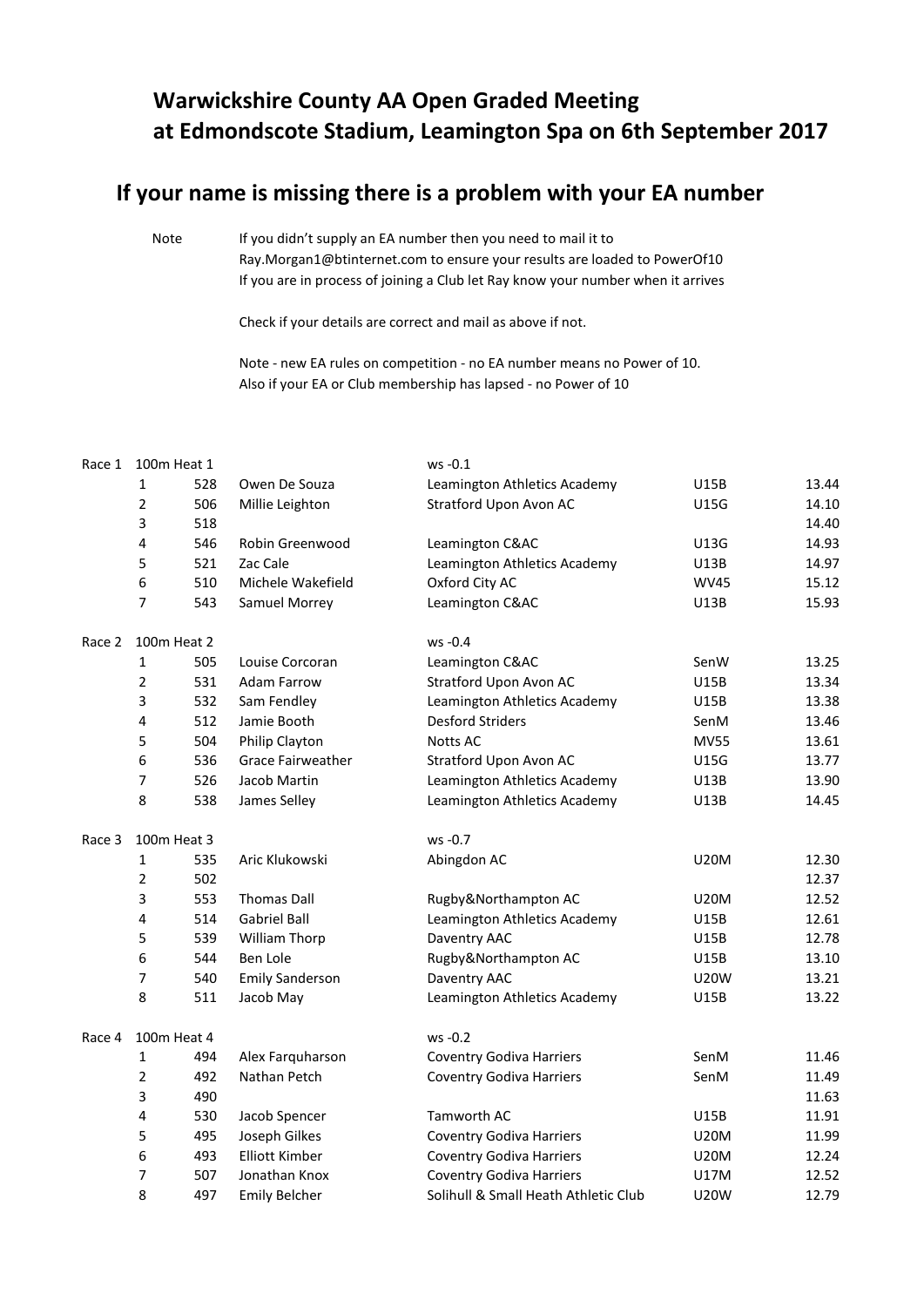## **Warwickshire County AA Open Graded Meeting at Edmondscote Stadium, Leamington Spa on 6th September 2017**

## **If your name is missing there is a problem with your EA number**

Note If you didn't supply an EA number then you need to mail it to [Ray.Morgan1@btinternet.com to ensure your results are loaded to PowerOf10](mailto:Ray.Morgan1@btinternet.com%20to%20ensure%20your%20results%20are%20loaded%20to%20PowerOf10) If you are in process of joining a Club let Ray know your number when it arrives

Check if your details are correct and mail as above if not.

Note - new EA rules on competition - no EA number means no Power of 10. Also if your EA or Club membership has lapsed - no Power of 10

| Race 1 | 100m Heat 1    |                                 | ws -0.1                              |             |       |  |
|--------|----------------|---------------------------------|--------------------------------------|-------------|-------|--|
|        | $\mathbf{1}$   | 528<br>Owen De Souza            | Leamington Athletics Academy         | U15B        | 13.44 |  |
|        | $\overline{2}$ | 506<br>Millie Leighton          | Stratford Upon Avon AC               | U15G        | 14.10 |  |
|        | 3              | 518                             |                                      |             | 14.40 |  |
|        | 4              | 546<br>Robin Greenwood          | Leamington C&AC                      | U13G        | 14.93 |  |
|        | 5              | 521<br>Zac Cale                 | Leamington Athletics Academy         | U13B        | 14.97 |  |
|        | 6              | 510<br>Michele Wakefield        | Oxford City AC                       | <b>WV45</b> | 15.12 |  |
|        | $\overline{7}$ | 543<br>Samuel Morrey            | Leamington C&AC                      | U13B        | 15.93 |  |
| Race 2 | 100m Heat 2    |                                 | $ws -0.4$                            |             |       |  |
|        | 1              | 505<br>Louise Corcoran          | Leamington C&AC                      | SenW        | 13.25 |  |
|        | $\overline{2}$ | 531<br>Adam Farrow              | Stratford Upon Avon AC               | U15B        | 13.34 |  |
|        | 3              | 532<br>Sam Fendley              | Leamington Athletics Academy         | U15B        | 13.38 |  |
|        | 4              | 512<br>Jamie Booth              | <b>Desford Striders</b>              | SenM        | 13.46 |  |
|        | 5              | 504<br>Philip Clayton           | Notts AC                             | <b>MV55</b> | 13.61 |  |
|        | 6              | 536<br><b>Grace Fairweather</b> | Stratford Upon Avon AC               | U15G        | 13.77 |  |
|        | 7              | 526<br>Jacob Martin             | Leamington Athletics Academy         | U13B        | 13.90 |  |
|        | 8              | 538<br>James Selley             | Leamington Athletics Academy         | U13B        | 14.45 |  |
| Race 3 | 100m Heat 3    |                                 | ws -0.7                              |             |       |  |
|        | 1              | Aric Klukowski<br>535           | Abingdon AC                          | <b>U20M</b> | 12.30 |  |
|        | $\overline{2}$ | 502                             |                                      |             | 12.37 |  |
|        | 3              | 553<br><b>Thomas Dall</b>       | Rugby&Northampton AC                 | <b>U20M</b> | 12.52 |  |
|        | 4              | 514<br><b>Gabriel Ball</b>      | Leamington Athletics Academy         | U15B        | 12.61 |  |
|        | 5              | 539<br>William Thorp            | Daventry AAC                         | U15B        | 12.78 |  |
|        | 6              | 544<br>Ben Lole                 | Rugby&Northampton AC                 | U15B        | 13.10 |  |
|        | 7              | 540<br><b>Emily Sanderson</b>   | Daventry AAC                         | <b>U20W</b> | 13.21 |  |
|        | 8              | 511<br>Jacob May                | Leamington Athletics Academy         | U15B        | 13.22 |  |
| Race 4 | 100m Heat 4    |                                 | $ws -0.2$                            |             |       |  |
|        | $\mathbf 1$    | 494<br>Alex Farquharson         | <b>Coventry Godiva Harriers</b>      | SenM        | 11.46 |  |
|        | $\overline{2}$ | 492<br>Nathan Petch             | <b>Coventry Godiva Harriers</b>      | SenM        | 11.49 |  |
|        | 3              | 490                             |                                      |             | 11.63 |  |
|        | 4              | 530<br>Jacob Spencer            | Tamworth AC                          | U15B        | 11.91 |  |
|        | 5              | 495<br>Joseph Gilkes            | <b>Coventry Godiva Harriers</b>      | <b>U20M</b> | 11.99 |  |
|        | 6              | 493<br><b>Elliott Kimber</b>    | <b>Coventry Godiva Harriers</b>      | U20M        | 12.24 |  |
|        | $\overline{7}$ | 507<br>Jonathan Knox            | <b>Coventry Godiva Harriers</b>      | U17M        | 12.52 |  |
|        | 8              | 497<br><b>Emily Belcher</b>     | Solihull & Small Heath Athletic Club | <b>U20W</b> | 12.79 |  |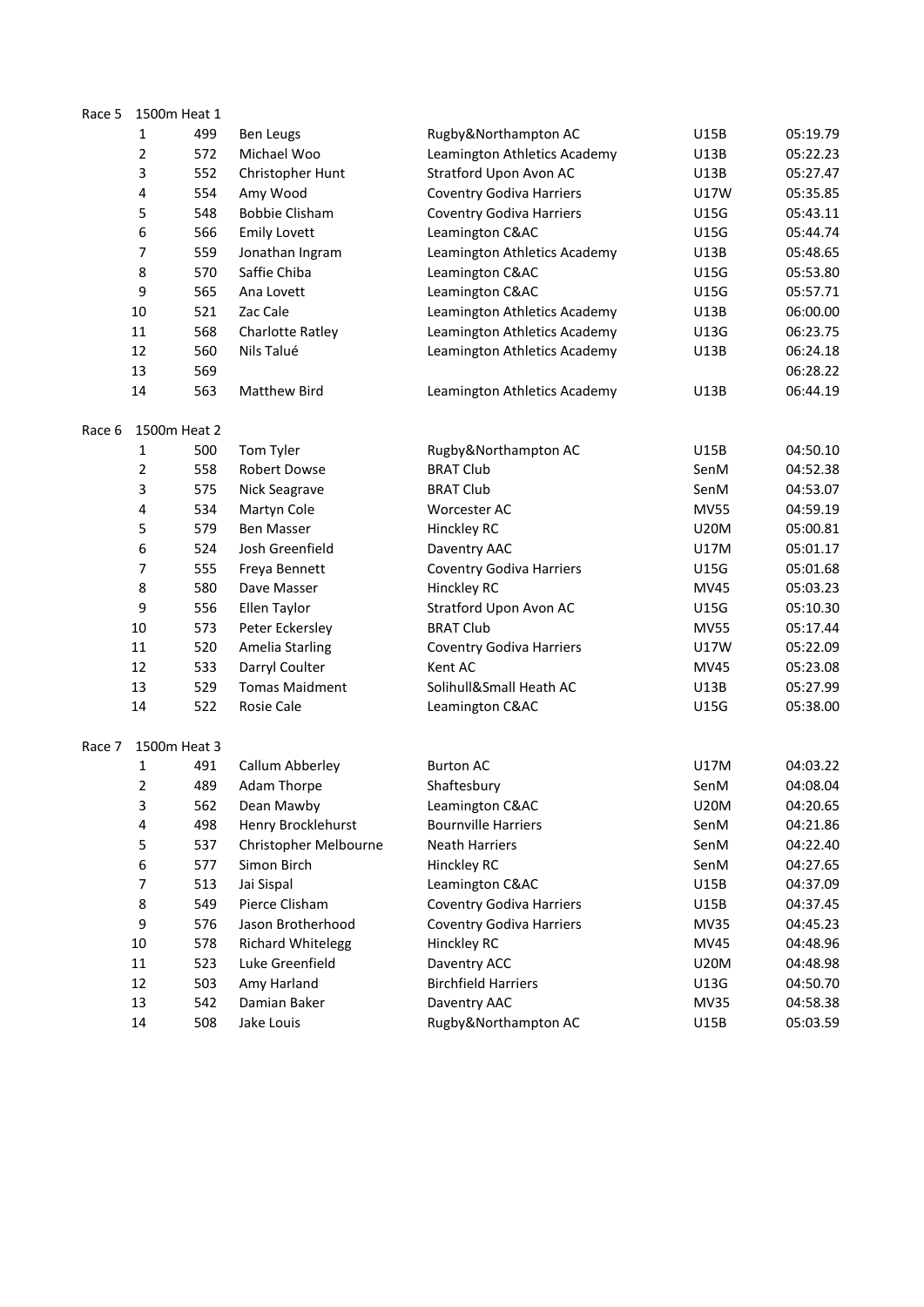| Race 5 | 1500m Heat 1 |     |                          |                                 |             |          |
|--------|--------------|-----|--------------------------|---------------------------------|-------------|----------|
|        | 1            | 499 | <b>Ben Leugs</b>         | Rugby&Northampton AC            | U15B        | 05:19.79 |
|        | 2            | 572 | Michael Woo              | Leamington Athletics Academy    | U13B        | 05:22.23 |
|        | 3            | 552 | Christopher Hunt         | Stratford Upon Avon AC          | U13B        | 05:27.47 |
|        | 4            | 554 | Amy Wood                 | <b>Coventry Godiva Harriers</b> | U17W        | 05:35.85 |
|        | 5            | 548 | <b>Bobbie Clisham</b>    | <b>Coventry Godiva Harriers</b> | U15G        | 05:43.11 |
|        | 6            | 566 | <b>Emily Lovett</b>      | Leamington C&AC                 | <b>U15G</b> | 05:44.74 |
|        | 7            | 559 | Jonathan Ingram          | Leamington Athletics Academy    | U13B        | 05:48.65 |
|        | 8            | 570 | Saffie Chiba             | Leamington C&AC                 | U15G        | 05:53.80 |
|        | 9            | 565 | Ana Lovett               | Leamington C&AC                 | U15G        | 05:57.71 |
|        | 10           | 521 | Zac Cale                 | Leamington Athletics Academy    | U13B        | 06:00.00 |
|        | 11           | 568 | <b>Charlotte Ratley</b>  | Leamington Athletics Academy    | U13G        | 06:23.75 |
|        | 12           | 560 | Nils Talué               | Leamington Athletics Academy    | U13B        | 06:24.18 |
|        | 13           | 569 |                          |                                 |             | 06:28.22 |
|        | 14           | 563 | Matthew Bird             | Leamington Athletics Academy    | U13B        | 06:44.19 |
| Race 6 | 1500m Heat 2 |     |                          |                                 |             |          |
|        | 1            | 500 | Tom Tyler                | Rugby&Northampton AC            | U15B        | 04:50.10 |
|        | 2            | 558 | Robert Dowse             | <b>BRAT Club</b>                | SenM        | 04:52.38 |
|        | 3            | 575 | Nick Seagrave            | <b>BRAT Club</b>                | SenM        | 04:53.07 |
|        | 4            | 534 | Martyn Cole              | Worcester AC                    | <b>MV55</b> | 04:59.19 |
|        | 5            | 579 | <b>Ben Masser</b>        | Hinckley RC                     | <b>U20M</b> | 05:00.81 |
|        | 6            | 524 | Josh Greenfield          | Daventry AAC                    | U17M        | 05:01.17 |
|        | 7            | 555 | Freya Bennett            | <b>Coventry Godiva Harriers</b> | U15G        | 05:01.68 |
|        | 8            | 580 | Dave Masser              | Hinckley RC                     | <b>MV45</b> | 05:03.23 |
|        | 9            | 556 | Ellen Taylor             | Stratford Upon Avon AC          | U15G        | 05:10.30 |
|        | 10           | 573 | Peter Eckersley          | <b>BRAT Club</b>                | <b>MV55</b> | 05:17.44 |
|        | 11           | 520 | <b>Amelia Starling</b>   | <b>Coventry Godiva Harriers</b> | U17W        | 05:22.09 |
|        | 12           | 533 | Darryl Coulter           | Kent AC                         | <b>MV45</b> | 05:23.08 |
|        | 13           | 529 | <b>Tomas Maidment</b>    | Solihull&Small Heath AC         | U13B        | 05:27.99 |
|        | 14           | 522 | Rosie Cale               | Leamington C&AC                 | U15G        | 05:38.00 |
| Race 7 | 1500m Heat 3 |     |                          |                                 |             |          |
|        | 1            | 491 | Callum Abberley          | <b>Burton AC</b>                | U17M        | 04:03.22 |
|        | 2            | 489 | <b>Adam Thorpe</b>       | Shaftesbury                     | SenM        | 04:08.04 |
|        | 3            | 562 | Dean Mawby               | Leamington C&AC                 | <b>U20M</b> | 04:20.65 |
|        | 4            | 498 | Henry Brocklehurst       | <b>Bournville Harriers</b>      | SenM        | 04:21.86 |
|        | 5            | 537 | Christopher Melbourne    | <b>Neath Harriers</b>           | SenM        | 04:22.40 |
|        | 6            | 577 | Simon Birch              | Hinckley RC                     | SenM        | 04:27.65 |
|        | 7            | 513 | Jai Sispal               | Leamington C&AC                 | U15B        | 04:37.09 |
|        | 8            | 549 | Pierce Clisham           | <b>Coventry Godiva Harriers</b> | U15B        | 04:37.45 |
|        | 9            | 576 | Jason Brotherhood        | <b>Coventry Godiva Harriers</b> | MV35        | 04:45.23 |
|        | 10           | 578 | <b>Richard Whitelegg</b> | Hinckley RC                     | MV45        | 04:48.96 |
|        | 11           | 523 | Luke Greenfield          | Daventry ACC                    | <b>U20M</b> | 04:48.98 |
|        | 12           | 503 | Amy Harland              | <b>Birchfield Harriers</b>      | U13G        | 04:50.70 |
|        | 13           | 542 | Damian Baker             | Daventry AAC                    | MV35        | 04:58.38 |
|        | 14           | 508 | Jake Louis               | Rugby&Northampton AC            | U15B        | 05:03.59 |